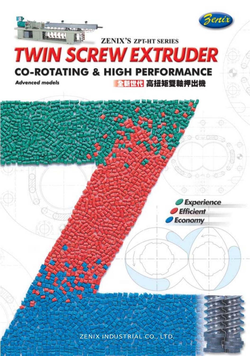

# **HAMA ZENIX'S ZPT-HT SERIES TWIN SCREW EXTRUDER CO-ROTATING & HIGH PERFORMANCE**

**Advenced models** 

全新世代 高扭矩雙軸押出機

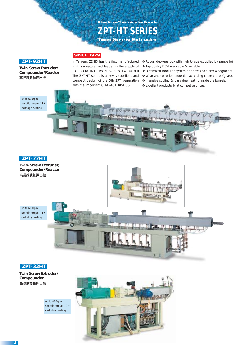# *ZPT-HT SERIES* **Twin Screw Extruder Plastics-Chemicals-Foods**

## **ZPT-92HT**

**Twin Screw Extruder/ Compounder/Reactor** 高混鍊雙軸押出機

In Taiwan, ZENIX has the first manufactured and is a recognized leader in the supply of CO-ROTATING TWIN SCREW EXTRUDER The ZPT-HT series is a newly excellent and compact design of the 5th ZPT generation with the important CHARACTERISTICS:

**SINCE 1979**

- ❖ Robust duo-gearbox with high torque.(supplied by zambello)
- ❖ Top quality DCdrive-stable &. reliable.
- ❖ Optimized modular system of barrels and screw segments.
- ❖ Wear and corrosion protection according to the process'g task.
- ❖ Intensive cooling &. cartridge heating inside the barrels.
- ❖ Excellent productivity at competive prices.

up to 600rpm. specific torque: 11.0 cartridge heating.



### **ZPT-77HT**

**Twin-Screw Exeruder/ Compounder/Reactor**  高混鍊雙軸押出機



up to 600rpm. specific torque: 11.9 cartridge heating.



### **ZPT-32HT**

**Twin Screw Extruder/ Compounder**  高混鍊雙軸押出機

> up to 600rpm. specific torque: 10.9 cartridge heating.

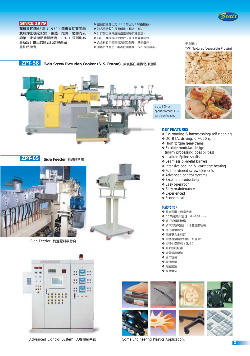

#### **SINCE 1979**

澤機於民國68年 (1979) 即專業從事同向 雙軸押出機之設計、製造、推廣,是國内公 認第一家領導品牌供應商,ZPT-HT系列則為 最新設計推出的第五代改良產品。 重點特徵有:

- $\diamond$  整組歐洲進口之H.T. ( 高扭矩 ) 級齒輪箱。
- $\blacklozenge$  知名高級 $DC$ 馬達傳動,穩定、有力。
- ◆針對加工條件選用適當耐磨抗蝕合金。
- ❖ 料缸、螺桿模組化設計,可任意變換組合。
- ◆ 合金料缸内部直接冷卻及加熱,熱效最佳。
- ❖ 國際水準產品、國產低廉售價,成本效益最高。

**ZPT-65**

**ZPT-58 Twin Screw Extruder/Cooker (S. S. Frame)** 素食蛋白組織化押出機



specific torque: 11.2 cartridge heating.



TVP (Textured Vegetable Protein)

#### **KEY FEATURES:**

❖ Co-rotating & intermeshing/self cleaning

素食蛋白

- $\triangle$  DC P. I.V. driving: 0 $\sim$ 600 rpm
- ❖ High torque gear-trains
- ❖ Flexible modular design (many processing possibilities)
- ❖ Involute Spline shafts
- ❖ Seamless bi-metal barrels
- ❖ Intensive cooling &. cartridge heating
- ❖ Full-hardened screw elements
- ❖ Advanced control systems
- ❖ Excellent productivity
- ❖ Easy operation
- ❖ Easy maintenance
- ❖ Experienced
- ❖ Economical

#### 技術特徵:

- $\diamond$  同向密囓,自清功能
- ◆ DC馬達無段變速: 0~600 rpm
- ◆ 高扭矩傳動機構
- ◆ 積木式組塊設計,任意變換組裝
- ◆ 梅花鍵槽軸心
- ◆無縫雙合金料缸
- ◆ 缸體直接插管加熱,升溫最快
- ◆ 全硬化螺旋對 (元件)
- ◆ 創新控制技術
- ◆ 高質量產優勢
- ◆ 操作容易
- ◆ 維修簡單
- ◆ 經驗豐富
- ◆ 國產價格













Advanced Control System 人機控制系統 Some Engineering Plastics Application.



**Side Feeder** 側邊餵料機

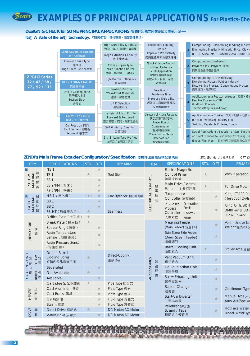# **EXAMPLES OF PRINCIPAL APPLICATIONS** For Plastics-Che

DESIGN & CHECK for SOME PRINCIPAL APPLICATIONS 雙軸押出機之評估要項及主要用途– It's A state of the art technology. 可量身訂製,彈性選擇,滿足各種需求。

| <b>ZPT-HT Series</b><br>32/42/58/<br>77/92/133 | <b>GEAR BOX/HIGH TORQUE</b>                                      | <b>High Durability &amp; Robust</b><br>強勁、有力、耐操、壽命長                                                 | <b>Extended Operating</b><br><b>Duration</b><br><b>Improved Productivity</b> |  | <b>Compounding I (Reinforcing Modifing Master</b><br>Engineering Plastics Mixing with Mica, Clay,                       |  |
|------------------------------------------------|------------------------------------------------------------------|-----------------------------------------------------------------------------------------------------|------------------------------------------------------------------------------|--|-------------------------------------------------------------------------------------------------------------------------|--|
|                                                | 高扭矩齒輪箱<br>Conventional Type                                      | Large Extrusion Capacity<br>高生產效率                                                                   | 提高生產效率及耐久運轉                                                                  |  | BC, FR, Silica, etc. 工程塑膠之改質、加纖, 母<br>Compounding II (Alloying)                                                         |  |
|                                                | 標準型<br>High Speed Type 高速型<br><b>BARREL/BI-METALLIC</b><br>雙合金料管 | Close / Open Type<br><b>Multi-function Barrel</b><br>密閉,大小開口,灌注孔                                    | Quick & Large Amount<br>of Heat Exchange<br>Multi-Application                |  | Polymer Alloy, Polymer Blend<br>同異質合金膠複合混鍊                                                                              |  |
|                                                |                                                                  | <b>High Thermal Efficiency</b><br>高效熱傳                                                              | 瞬間大量熱傳效率<br>多處入料、脫氣、灌注、<br>調整功能                                              |  | Compounding III (Devolatilizing)<br>Dewatering Process (Rubber Industry)<br>Desolventing Process, Concentrating Process |  |
|                                                | <b>Drill-in Cooling Bores</b>                                    | Corrosion-Proof &<br><b>Wear-Proof Materials</b>                                                    | Selection of<br>Residence Time                                               |  | 高效脫氣、乾燥加工                                                                                                               |  |
|                                                | 管壁鑽孔冷卻<br><b>Section Block</b><br>分段式                            | 耐蝕、耐磨材質<br>L / D Selection                                                                          | <b>Improved Durability</b><br>選取加工滯留時間長短                                     |  | Application as a Reactor-extruaer 反應、接札<br>Reactive Processing-TPU<br>Grafting, Phenols                                 |  |
|                                                |                                                                  | 長徑比取捨                                                                                               | 改善耐用壽命                                                                       |  | <b>Thermosetting Resins-Epoxy</b>                                                                                       |  |
|                                                | <b>SCREW / KNEADER</b><br>螺旋元件 / 捏合塊                             | Variety of Pitch, Profile<br>Forward & Rev. Lead<br>正反導程、節距、外形之變化<br>Self Wiping / Cleaning<br>自清功能 | <b>Selection of Mixing Functions</b><br>選定混摻功能要求<br>Prevention of            |  | Application as a Cooker 炊煮、熔融、分散、<br>for Food Processing Industry e. g.<br>Texturing Vegetable Proteins, Dough          |  |
|                                                | Co-Rotation 同向<br><b>Full Intermesh 密嚙型</b><br>Segment 積木式       |                                                                                                     | Contamination<br>避冤雜質污染<br><b>Prevention of Resin</b>                        |  | Spcial Applications: Extrusion of Semi-Finishe                                                                          |  |
|                                                |                                                                  | 2- / 3- Lobe Type Profiles<br>2牙口 / 2牙口ウ潠完                                                          | <b>Deterioration</b><br>神経スマロ羽业吉ノリスル                                         |  | or Direct Extrution to Sexondary Processing Lin<br>(Sheet, Film, Pipe) 其他特用功能或直接成型押                                     |  |

### ZENIX's Main Frame Extruder Configuration/Specifcation 澤機押出主機結構配備規範

STD. (Standard): 標準配備 OPT. (C

| <b>ITEM</b>            |                                    | <b>SPECIFICATIONS</b>        | <b>STD</b>            | OPT.                 | <b>REMARKS</b>          | <b>ITEM</b>                                           | <b>SPECIFICATIONS</b>          | STD.    | OPT.            | <b>REMARK</b>                          |
|------------------------|------------------------------------|------------------------------|-----------------------|----------------------|-------------------------|-------------------------------------------------------|--------------------------------|---------|-----------------|----------------------------------------|
| ※                      | <b>NS1</b>                         |                              |                       | ★                    |                         |                                                       | Electro-Magnetic               |         |                 |                                        |
| 螺<br>TVINJLYM<br>SCREW | <b>TS 1</b>                        | ★                            |                       | <b>Tool Steel</b>    |                         | <b>Control Panel</b>                                  | ★                              |         | With Operation  |                                        |
|                        | <b>SS 1</b>                        |                              | ★                     |                      |                         | 熱電控制盤                                                 |                                |         |                 |                                        |
|                        | SS 2/PM (粉末)                       |                              |                       |                      | ELECTRICAL CONTROL<br>機 | <b>Main Drive Control</b><br>Panel                    | $\star$                        |         | For Drive Motor |                                        |
|                        |                                    | PS 9/PM (粉末)                 |                       | $\star$              |                         | 電                                                     | 主機控制盤                          |         |                 |                                        |
| ☀                      | 料                                  | NB 1 (氮化鋼)                   | $($ $\rightarrow$ $)$ | $\star$              | ◆ for Open Sec. 開口缸可用   | 控                                                     | Temperature<br>Controller 溫控系統 |         | $\star$         | K or J, PT 100 Du<br>(Heat/Cool) 2-Ala |
|                        |                                    | <b>BB1</b>                   |                       | $\star$              |                         | 制                                                     | PC-Based Operation             |         |                 |                                        |
| <b>BARREL</b>          | 1vikintyw                          | <b>BB2</b>                   |                       | $\star$              |                         |                                                       | <b>Desk</b><br><b>Process</b>  |         |                 | Al-40 Points, AO-8                     |
|                        |                                    | SB-HT (無縫雙合金)                | $\star$               |                      | Seamless                |                                                       | Controller<br>Contro-          |         | $\star$         | DI-80 Points, DO-<br>RS232, RS-422     |
|                        |                                    | Orifice Plate (大孔板)          | $\frac{1}{\sqrt{2}}$  |                      |                         |                                                       | 人機界面<br>Panel                  |         |                 |                                        |
|                        |                                    | Break Plate (蜂巢板)            | $\frac{1}{\sqrt{2}}$  |                      |                         |                                                       | <b>Metering Feeder</b>         |         | $\star$         | Volumetric or Lo:                      |
|                        | 模                                  | Spacer Ring (隔環)             |                       | $\frac{1}{\sqrt{2}}$ |                         |                                                       | (Main Feeder) 定量下料             |         |                 | Weight 體積式或)                           |
| <b>HEAD / DIE</b><br>頭 | Resin Temperature<br>Sensor (熔壓感測) |                              | $\star$               |                      |                         | <b>Twin-Screw Side Feeder</b><br>(Down Stream Feeder) |                                | $\star$ |                 |                                        |
|                        |                                    | <b>Resin Pressure Sensor</b> |                       |                      |                         |                                                       | 側邊進料                           |         |                 |                                        |
|                        | (熔壓感測)                             |                              | $\star$               |                      |                         | <b>Barrel Cooling Unit</b>                            | $\star$                        |         | Trolley Type 活動 |                                        |
|                        |                                    | <b>Drill-in Barrel</b>       |                       |                      |                         |                                                       | 冷卻組合                           |         |                 |                                        |
| <b>UNIT</b><br>冷       | SCREW<br>管                         | <b>Cooling Bores</b>         | $\star$               |                      | Direct-Cooling<br>直接冷卻  |                                                       | Vent Vacuum Unit               |         | $\star$         |                                        |
|                        |                                    | 缸體内多孔直接冷卻                    |                       |                      |                         | 週                                                     | 真空組合                           |         |                 |                                        |
| J SNITOOC              |                                    | Separated                    |                       | $\star$              |                         | <b>ACCESSORIES</b><br>邊<br>配                          | Liquid Injection Unit          |         | $\star$         |                                        |
|                        | <b>Like 糯</b><br>各名                | Not Available                | $\star$               |                      |                         | 備                                                     | 灌注系統                           |         |                 |                                        |
|                        |                                    | Available                    |                       | $\star$              |                         |                                                       | <b>Screw Extracting Unit</b>   |         | $\star$         |                                        |
|                        |                                    | Cartridge S. S. 不繡鋼          | ★                     |                      | Pipe Type 插管式           |                                                       | 螺桿拔出器                          |         |                 |                                        |
|                        | 加                                  | Cast Aluminum 鑄鋁             |                       | $\star$              | Plate Type 板式           |                                                       | Screen Changer<br>過濾器          |         | $\star$         | Continuous Type                        |
| <b>HEATER</b>          | 熱                                  | Cast Brass 鑄銅                |                       | $\star$              | Plate Type 板式           |                                                       | Start-Up Diverter              |         |                 | Manual Type 人                          |
|                        | 器                                  | Oil 熱煤油                      |                       | $\star$              | Fluid Type 流體式          |                                                       | 三通排放閥                          |         | $\star$         | Auto-Act Type 自                        |
|                        |                                    | Steam 蒸氣                     |                       | ★                    | Fluid Type 流體式          |                                                       | Pelletizer 切粒機                 |         |                 |                                        |
| <b>DRIVE</b>           | 驅                                  | Direct Drive 有結式             | ★                     |                      | DC Motor/AC Motor       |                                                       | Strand / Face                  |         | $\star$         | Hot Face Water-                        |
|                        | 動                                  | V-Belt Drive 皮帶式             |                       | $\star$              | DC Motor/AC Motor       |                                                       | 拉條切 / 模頭切                      |         |                 | <b>Under Water Typ</b>                 |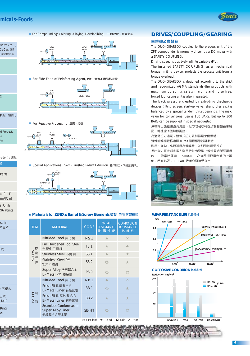# micals-Foods

rbatch etc....)

CaCo<sub>3</sub>, GF,

膠混摻造粒

₹

揉捏、組織化

d Produsts

)ption): 選配

i出

Ś

Parts





■ For Compounding: Coloring, Alloying, Devolatilizing. 一般混鍊, 脫氣造粒





■ Special Applications · Semi-Finished Prduct Extrusion 特殊加工, 成品直接押出



※ Materials for ZENIX's Barrel & Screw Elements 螺旋·料管材質種類

| <b>ITEM</b>      | <b>MATERIAL</b>                                               | <b>CODE</b>                                                                                                              | <b>WEAR</b><br><b>RESISTANCE</b><br>耐磨性能 | <b>CORROSION</b><br><b>RESISTANCE</b><br>抗蝕性 |
|------------------|---------------------------------------------------------------|--------------------------------------------------------------------------------------------------------------------------|------------------------------------------|----------------------------------------------|
|                  | Nitrided Steel 氯化鋼                                            | <b>NS1</b>                                                                                                               |                                          | $\times$                                     |
| 螺                | <b>Full Hardened Tool Steel</b><br>全硬化工具鋼                     | TS <sub>1</sub>                                                                                                          |                                          |                                              |
| CREW<br>旋        | Stainless Steel 不繡鋼                                           | SS <sub>1</sub><br>SS <sub>2</sub><br>∩<br><b>PS 9</b><br>∩<br><b>NB1</b><br>▲<br><b>BB1</b><br>⋒<br><b>BB2</b><br>SB-HT |                                          |                                              |
| 元<br>件           | <b>Stainless Steel PM</b><br>粉末不繡鋼                            |                                                                                                                          |                                          | ★                                            |
|                  | Super Alloy 粉末超合金<br>Bi-Metal PM 雙金屬                          |                                                                                                                          |                                          |                                              |
|                  | Nitrided Steel 氮化鋼                                            |                                                                                                                          |                                          | $\times$                                     |
|                  | Press Fit 耐磨雙合金<br>Bi-Metal Liner 有縫套層                        |                                                                                                                          |                                          |                                              |
| 料<br>BARREL<br>管 | Press Fit 耐腐蝕雙合金<br>Bi-Metal Liner 有縫套層                       |                                                                                                                          |                                          |                                              |
|                  | Seamless Conformaclad<br><b>Super Alloy Liner</b><br>無縫超合金雙金屬 |                                                                                                                          |                                          |                                              |

©: Excellent ★: Good ▲: Fair  $\times$ : Poor

# **DRIVES/COUPLING/GEARING**

#### 主傳動及齒輪箱

The DUO-GEARBOX coupled to the process unit of the ZPT' compounder is normally driven by a DC motor with a SAFETY COUPLING.

Driving speed is positively infinite variable (PIV).

The installed SAFETY COUPLING, as a mechanical torque limiting device, protects the process unit from a torque overload.

The DUO-GEARBOX is designed according to the strict and recognized AGMA standards-the products with maximum durability, safety margins and noise free, forced lubricating unit is also integrated.

The back pressure created by extruding discharge devices (filting screen. start-up valve. strand dies etc.) is balanced by a special tandem thrust bearings. The max. value for conventional use is 150 BARS. But up to 300 BARS can be supplied in special nequested.

澤機押出機藉由直流馬達、扭力限制聯軸器及雙軸齒箱來驅 動,轉速能準確無段調控。

為避免扭力過載,機械式扭力限制器是必備機構。

雙軸齒輪箱嚴格遵照AGMA國際標準設計製造一

耐用 、強勁、高扭矩且為低噪音,並附強制潤滑系統。 押出機之巨大背向推力則用特殊串疊型止堆軸承組所平衡吸 收,一般常時運轉一150BARS一之抗壓極限是合適的上限 偤 ,若有必要,300BARS級者亦可接受指定。



#### WEAR RESISTANCE LIFE 抗磨耗性



**CORROSIVE CONDITION 抗腐蝕性** Reduction mg/cm<sup>3</sup>



al P. I. D.

rm/Point **8 Points** 96 Points

 $ss-in$ 咸重式

式

不斷料 工式 動式 Ring.

œ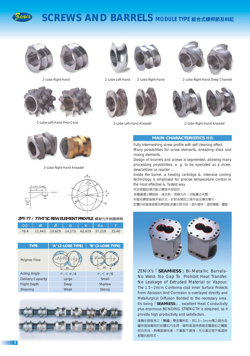

# **SCREWS AND BARRELS MODULE TYPE 組合式螺桿節及料缸**



2-Lobe Right-Hand



2-Lobe Left-Hand Pine-Cone



3-Lobe Right-Hand Kneader



#### ZPT-77 / 77HT SCREW ELEMENT PROFILE 螺旋元件剖面規格

| <b>OD</b> |  | W | Ro                                            |  |
|-----------|--|---|-----------------------------------------------|--|
|           |  |   | 76.4 11,443 10,629 14,173 62,619 37,219 25,40 |  |







2-Lobe Left-Hand



2-Lobe Right-Hand



2-Lobe Left-Hand Kneader





2-Lobe Right-Hand Deep Channel

2-Lobe Right-Hand Kneader

### **MAIN CHARACTERISTICS** 特色

Fully intermeshing screw profile with self cleaning effect. Many possibilities for screw elements, kneading discs and mixing elements.

Design of brarrels and screws is segmented, allowing many processing possibilities, e. g. to be operated as a mixer, devolatilizer or reactor ....

Inside the barrel, a heating cartridge & intensive cooling technology is employed for precise temperature control in the most effective &. fastest way.

完全密嚙自清功能之螺旋外型設計。

多種選擇之螺旋節,捏合對,混鍊元件,功能廣泛完整。 料管及螺旋皆積木組合式,針對各類加工條件皆足彈性應付。 缸體内部直接插管加熱搭配多重水路冷卻,溫升最快,溫控精確、靈敏。



ZENIX's **SEAMIESS** J Bi-Metallic Barrels-No Weld. No Gap To Prohibit Heat Transfer. No Leakage of Extruded Material or Vapour. The 1.5~2m/m Conforma-clad Inner Surface Protects From Abrasion And Corrosion is overlayed directly and Metallurgical Diffusion Bonded to the necessary area. It's being **SEAMIESS** J, excellent Heat Conductivity plus enormous BONDING STRENGTH is obtained, so it provide high productivity and satisfaction.

澤機全面裝用之「無縫」雙金屬料缸,其1.5~2m/m厚之超合金 層係直接融熔於缸體孔内全周,藉特高溫時微細金屬晶粒之擴散 熔合而成,熱傳直接快速,不龜裂不漏洩,充分滿足客戶高溫時 耐磨抗蝕苛求。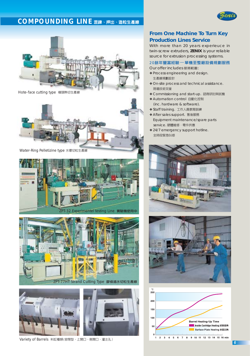# $\overline{COMPOUNDING~LINE~{\rm \#}$ <br> **EXECUTE: EXECUTE: EXECUTE: EXECUTE: EXECUTE: EXECUTE: EXECUTE: EXECUTE: EXECUTE: EXECUTE: EXECUTE: EXECUTE: EXECUTE: EXECUTE: EXECUTE: EXECUTE: EXECUTE: EXECUTE: EXECUTE: EXECUTE: EXECUTE: EXECUTE: EX**





Hote-face cutting type 模頭熱切生產線



Water-Ring Pelletizine type 水環切粒生產線





**ZPT-77HT Strand Cutting Type 膠條過水切粒生產線** 



Variety of Barrels 料缸種類(密閉型、上開口、側開口、灌注孔)

# **From One Machine To Turn Key Production Lines Service**

With more than 20 years experieuce in twin-screw extruders, **ZENIX** is your reliable source for extrusion processing systems.

#### 20餘年豐富經驗 **一單機至整廠設備規**劃服務

Our offer includes 服務範圍:

- ❖ Process engineering and design. 生產線規劃設計
- ❖ On-site process and technical assistance. 現場技術支援
- ◆ Commissioning and start-up. 諮商研討與試機
- ◆ Automation control 自動化控制 (inc. hardware & software).
- ◆ Staff training. 工作人員教育訓練
- ◆ After sales support. 售後服務 Equipment maintenance/spare parts service. 硬體維修 · 零件供應
- ❖ 24/7 emergency support hotline. 全時段緊急叫修